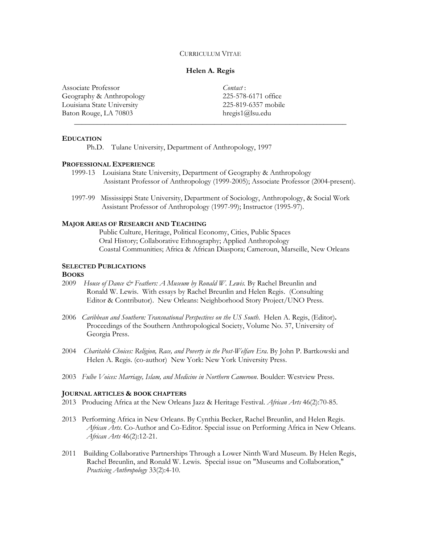#### CURRICULUM VITAE

### **Helen A. Regis**

\_\_\_\_\_\_\_\_\_\_\_\_\_\_\_\_\_\_\_\_\_\_\_\_\_\_\_\_\_\_\_\_\_\_\_\_\_\_\_\_\_\_\_\_\_\_\_\_\_\_\_\_\_\_\_\_\_\_\_\_\_\_\_\_\_\_\_\_\_\_\_\_

Associate Professor Geography & Anthropology Louisiana State University Baton Rouge, LA 70803

*Contact* : 225-578-6171 office 225-819-6357 mobile hregis1@lsu.edu

#### **EDUCATION**

Ph.D. Tulane University, Department of Anthropology, 1997

## **PROFESSIONAL EXPERIENCE**

- 1999-13 Louisiana State University, Department of Geography & Anthropology Assistant Professor of Anthropology (1999-2005); Associate Professor (2004-present).
- 1997-99 Mississippi State University, Department of Sociology, Anthropology, & Social Work Assistant Professor of Anthropology (1997-99); Instructor (1995-97).

## **MAJOR AREAS OF RESEARCH AND TEACHING**

Public Culture, Heritage, Political Economy, Cities, Public Spaces Oral History; Collaborative Ethnography; Applied Anthropology Coastal Communities; Africa & African Diaspora; Cameroun, Marseille, New Orleans

## **SELECTED PUBLICATIONS**

#### **BOOKS**

- 2009 *House of Dance & Feathers: A Museum by Ronald W. Lewis.* By Rachel Breunlin and Ronald W. Lewis. With essays by Rachel Breunlin and Helen Regis. (Consulting Editor & Contributor). New Orleans: Neighborhood Story Project/UNO Press.
- 2006 *Caribbean and Southern: Transnational Perspectives on the US South*. Helen A. Regis, (Editor)**.** Proceedings of the Southern Anthropological Society, Volume No. 37, University of Georgia Press.
- 2004 *Charitable Choices: Religion, Race, and Poverty in the Post-Welfare Era*. By John P. Bartkowski and Helen A. Regis. (co-author) New York: New York University Press.
- 2003 *Fulbe Voices: Marriage, Islam, and Medicine in Northern Cameroon*. Boulder: Westview Press.

### **JOURNAL ARTICLES & BOOK CHAPTERS**

- 2013 Producing Africa at the New Orleans Jazz & Heritage Festival. *African Arts* 46(2):70-85.
- 2013 Performing Africa in New Orleans. By Cynthia Becker, Rachel Breunlin, and Helen Regis. *African Arts.* Co-Author and Co-Editor. Special issue on Performing Africa in New Orleans. *African Arts* 46(2):12-21.
- 2011 Building Collaborative Partnerships Through a Lower Ninth Ward Museum. By Helen Regis, Rachel Breunlin, and Ronald W. Lewis. Special issue on "Museums and Collaboration," *Practicing Anthropology* 33(2):4-10.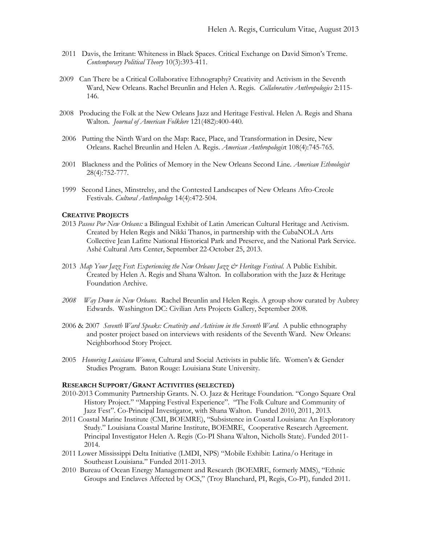- 2011Davis, the Irritant: Whiteness in Black Spaces. Critical Exchange on David Simon's Treme. *Contemporary Political Theory* 10(3):393-411.
- 2009 Can There be a Critical Collaborative Ethnography? Creativity and Activism in the Seventh Ward, New Orleans. Rachel Breunlin and Helen A. Regis. *Collaborative Anthropologies* 2:115- 146.
- 2008 Producing the Folk at the New Orleans Jazz and Heritage Festival. Helen A. Regis and Shana Walton. *Journal of American Folklore* 121(482):400-440*.*
- 2006 Putting the Ninth Ward on the Map: Race, Place, and Transformation in Desire, New Orleans. Rachel Breunlin and Helen A. Regis. *American Anthropologis*t 108(4):745-765.
- 2001 Blackness and the Politics of Memory in the New Orleans Second Line. *American Ethnologist* 28(4):752-777.
- 1999 Second Lines, Minstrelsy, and the Contested Landscapes of New Orleans Afro-Creole Festivals. *Cultural Anthropology* 14(4):472-504.

# **CREATIVE PROJECTS**

- 2013 *Paseos Por New Orleans:* a Bilingual Exhibit of Latin American Cultural Heritage and Activism. Created by Helen Regis and Nikki Thanos, in partnership with the CubaNOLA Arts Collective Jean Lafitte National Historical Park and Preserve, and the National Park Service. Ashé Cultural Arts Center, September 22-October 25, 2013.
- 2013 *Map Your Jazz Fest*: *Experiencing the New Orleans Jazz & Heritage Festival.* A Public Exhibit. Created by Helen A. Regis and Shana Walton. In collaboration with the Jazz & Heritage Foundation Archive.
- *2008 Way Down in New Orleans.* Rachel Breunlin and Helen Regis. A group show curated by Aubrey Edwards. Washington DC: Civilian Arts Projects Gallery, September 2008.
- 2006 & 2007 *Seventh Ward Speaks: Creativity and Activism in the Seventh Ward.* A public ethnography and poster project based on interviews with residents of the Seventh Ward. New Orleans: Neighborhood Story Project.
- 2005 *Honoring Louisiana Women*, Cultural and Social Activists in public life. Women's & Gender Studies Program. Baton Rouge: Louisiana State University.

## **RESEARCH SUPPORT/GRANT ACTIVITIES (SELECTED)**

- 2010-2013 Community Partnership Grants. N. O. Jazz & Heritage Foundation. "Congo Square Oral History Project." "Mapping Festival Experience". "The Folk Culture and Community of Jazz Fest". Co-Principal Investigator, with Shana Walton. Funded 2010, 2011, 2013.
- 2011 Coastal Marine Institute (CMI, BOEMRE), "Subsistence in Coastal Louisiana: An Exploratory Study." Louisiana Coastal Marine Institute, BOEMRE, Cooperative Research Agreement. Principal Investigator Helen A. Regis (Co-PI Shana Walton, Nicholls State). Funded 2011- 2014.
- 2011 Lower Mississippi Delta Initiative (LMDI, NPS) "Mobile Exhibit: Latina/o Heritage in Southeast Louisiana." Funded 2011-2013.
- 2010 Bureau of Ocean Energy Management and Research (BOEMRE, formerly MMS), "Ethnic Groups and Enclaves Affected by OCS," (Troy Blanchard, PI, Regis, Co-PI), funded 2011.